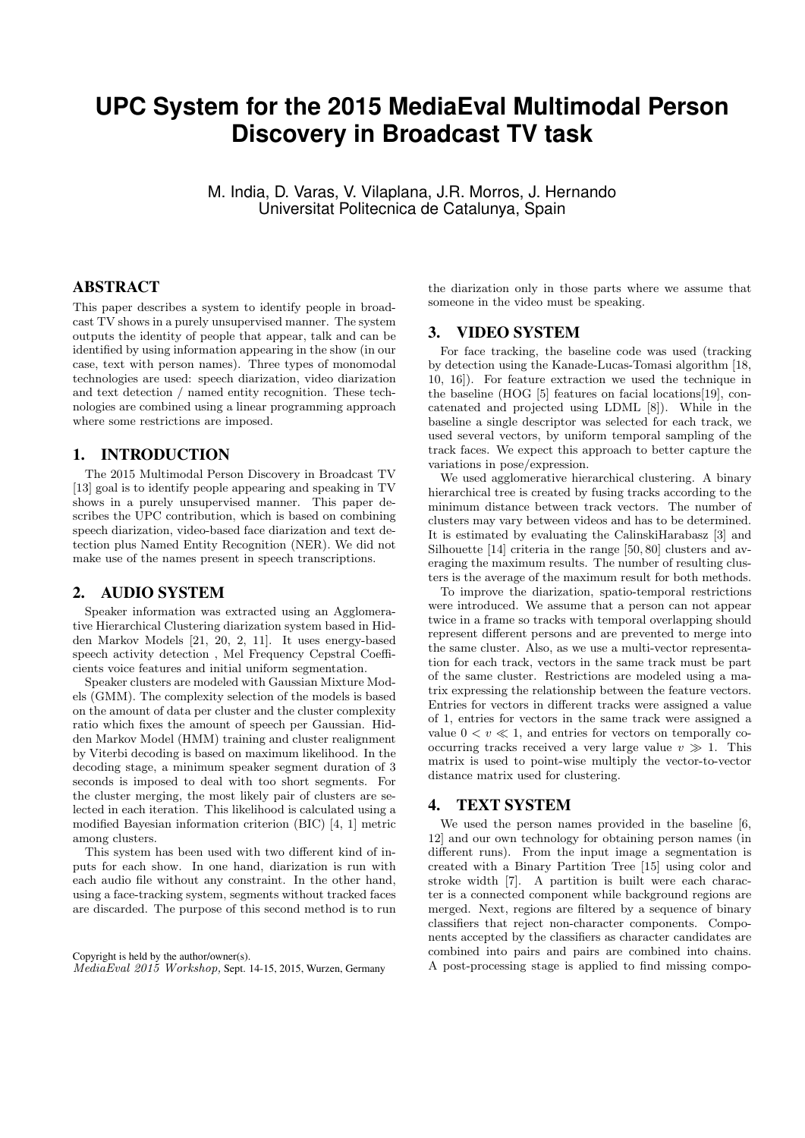# **UPC System for the 2015 MediaEval Multimodal Person Discovery in Broadcast TV task**

M. India, D. Varas, V. Vilaplana, J.R. Morros, J. Hernando Universitat Politecnica de Catalunya, Spain

## ABSTRACT

This paper describes a system to identify people in broadcast TV shows in a purely unsupervised manner. The system outputs the identity of people that appear, talk and can be identified by using information appearing in the show (in our case, text with person names). Three types of monomodal technologies are used: speech diarization, video diarization and text detection / named entity recognition. These technologies are combined using a linear programming approach where some restrictions are imposed.

## 1. INTRODUCTION

The 2015 Multimodal Person Discovery in Broadcast TV [13] goal is to identify people appearing and speaking in TV shows in a purely unsupervised manner. This paper describes the UPC contribution, which is based on combining speech diarization, video-based face diarization and text detection plus Named Entity Recognition (NER). We did not make use of the names present in speech transcriptions.

## 2. AUDIO SYSTEM

Speaker information was extracted using an Agglomerative Hierarchical Clustering diarization system based in Hidden Markov Models [21, 20, 2, 11]. It uses energy-based speech activity detection , Mel Frequency Cepstral Coefficients voice features and initial uniform segmentation.

Speaker clusters are modeled with Gaussian Mixture Models (GMM). The complexity selection of the models is based on the amount of data per cluster and the cluster complexity ratio which fixes the amount of speech per Gaussian. Hidden Markov Model (HMM) training and cluster realignment by Viterbi decoding is based on maximum likelihood. In the decoding stage, a minimum speaker segment duration of 3 seconds is imposed to deal with too short segments. For the cluster merging, the most likely pair of clusters are selected in each iteration. This likelihood is calculated using a modified Bayesian information criterion (BIC) [4, 1] metric among clusters.

This system has been used with two different kind of inputs for each show. In one hand, diarization is run with each audio file without any constraint. In the other hand, using a face-tracking system, segments without tracked faces are discarded. The purpose of this second method is to run

Copyright is held by the author/owner(s). MediaEval 2015 Workshop, Sept. 14-15, 2015, Wurzen, Germany

the diarization only in those parts where we assume that someone in the video must be speaking.

## 3. VIDEO SYSTEM

For face tracking, the baseline code was used (tracking by detection using the Kanade-Lucas-Tomasi algorithm [18, 10, 16]). For feature extraction we used the technique in the baseline (HOG [5] features on facial locations[19], concatenated and projected using LDML [8]). While in the baseline a single descriptor was selected for each track, we used several vectors, by uniform temporal sampling of the track faces. We expect this approach to better capture the variations in pose/expression.

We used agglomerative hierarchical clustering. A binary hierarchical tree is created by fusing tracks according to the minimum distance between track vectors. The number of clusters may vary between videos and has to be determined. It is estimated by evaluating the CalinskiHarabasz [3] and Silhouette [14] criteria in the range [50, 80] clusters and averaging the maximum results. The number of resulting clusters is the average of the maximum result for both methods.

To improve the diarization, spatio-temporal restrictions were introduced. We assume that a person can not appear twice in a frame so tracks with temporal overlapping should represent different persons and are prevented to merge into the same cluster. Also, as we use a multi-vector representation for each track, vectors in the same track must be part of the same cluster. Restrictions are modeled using a matrix expressing the relationship between the feature vectors. Entries for vectors in different tracks were assigned a value of 1, entries for vectors in the same track were assigned a value  $0 < v \ll 1$ , and entries for vectors on temporally cooccurring tracks received a very large value  $v \gg 1$ . This matrix is used to point-wise multiply the vector-to-vector distance matrix used for clustering.

## 4. TEXT SYSTEM

We used the person names provided in the baseline [6, 12] and our own technology for obtaining person names (in different runs). From the input image a segmentation is created with a Binary Partition Tree [15] using color and stroke width [7]. A partition is built were each character is a connected component while background regions are merged. Next, regions are filtered by a sequence of binary classifiers that reject non-character components. Components accepted by the classifiers as character candidates are combined into pairs and pairs are combined into chains. A post-processing stage is applied to find missing compo-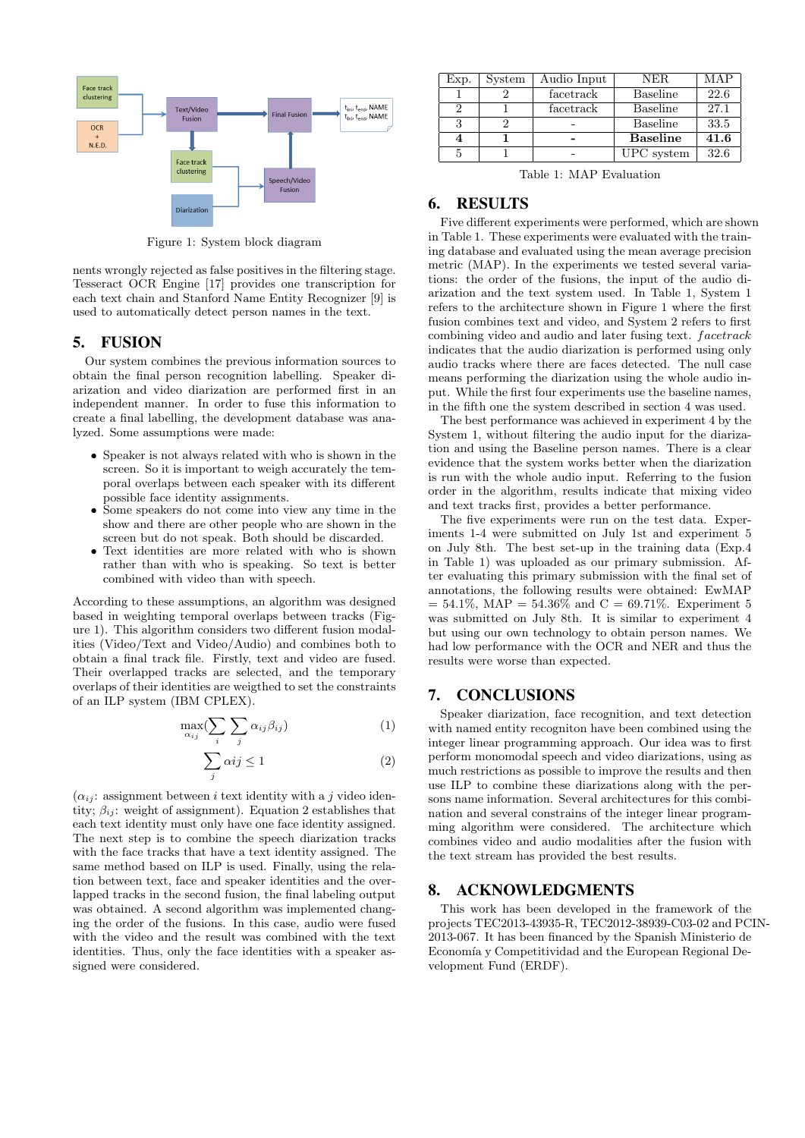

Figure 1: System block diagram

nents wrongly rejected as false positives in the filtering stage. Tesseract OCR Engine [17] provides one transcription for each text chain and Stanford Name Entity Recognizer [9] is used to automatically detect person names in the text.

#### 5. FUSION

Our system combines the previous information sources to obtain the final person recognition labelling. Speaker diarization and video diarization are performed first in an independent manner. In order to fuse this information to create a final labelling, the development database was analyzed. Some assumptions were made:

- Speaker is not always related with who is shown in the screen. So it is important to weigh accurately the temporal overlaps between each speaker with its different possible face identity assignments.
- Some speakers do not come into view any time in the show and there are other people who are shown in the screen but do not speak. Both should be discarded.
- Text identities are more related with who is shown rather than with who is speaking. So text is better combined with video than with speech.

According to these assumptions, an algorithm was designed based in weighting temporal overlaps between tracks (Figure 1). This algorithm considers two different fusion modalities (Video/Text and Video/Audio) and combines both to obtain a final track file. Firstly, text and video are fused. Their overlapped tracks are selected, and the temporary overlaps of their identities are weigthed to set the constraints of an ILP system (IBM CPLEX).

$$
\max_{\alpha_{ij}} \left( \sum_{i} \sum_{j} \alpha_{ij} \beta_{ij} \right) \tag{1}
$$

$$
\sum_{j} \alpha ij \le 1\tag{2}
$$

 $(\alpha_{ij})$ : assignment between *i* text identity with a *j* video identity;  $\beta_{ij}$ : weight of assignment). Equation 2 establishes that each text identity must only have one face identity assigned. The next step is to combine the speech diarization tracks with the face tracks that have a text identity assigned. The same method based on ILP is used. Finally, using the relation between text, face and speaker identities and the overlapped tracks in the second fusion, the final labeling output was obtained. A second algorithm was implemented changing the order of the fusions. In this case, audio were fused with the video and the result was combined with the text identities. Thus, only the face identities with a speaker assigned were considered.

| Exp. | System | Audio Input | <b>NER</b>      | MAP  |
|------|--------|-------------|-----------------|------|
|      |        | facetrack   | <b>Baseline</b> | 22.6 |
|      |        | facetrack   | <b>Baseline</b> | 27.1 |
|      |        |             | <b>Baseline</b> | 33.5 |
|      |        |             | <b>Baseline</b> | 41.6 |
|      |        |             | UPC system      | 32.6 |

Table 1: MAP Evaluation

## 6. RESULTS

Five different experiments were performed, which are shown in Table 1. These experiments were evaluated with the training database and evaluated using the mean average precision metric (MAP). In the experiments we tested several variations: the order of the fusions, the input of the audio diarization and the text system used. In Table 1, System 1 refers to the architecture shown in Figure 1 where the first fusion combines text and video, and System 2 refers to first combining video and audio and later fusing text. *facetrack* indicates that the audio diarization is performed using only audio tracks where there are faces detected. The null case means performing the diarization using the whole audio input. While the first four experiments use the baseline names, in the fifth one the system described in section 4 was used.

The best performance was achieved in experiment 4 by the System 1, without filtering the audio input for the diarization and using the Baseline person names. There is a clear evidence that the system works better when the diarization is run with the whole audio input. Referring to the fusion order in the algorithm, results indicate that mixing video and text tracks first, provides a better performance.

The five experiments were run on the test data. Experiments 1-4 were submitted on July 1st and experiment 5 on July 8th. The best set-up in the training data (Exp.4 in Table 1) was uploaded as our primary submission. After evaluating this primary submission with the final set of annotations, the following results were obtained: EwMAP  $= 54.1\%$ , MAP  $= 54.36\%$  and  $C = 69.71\%$ . Experiment 5 was submitted on July 8th. It is similar to experiment 4 but using our own technology to obtain person names. We had low performance with the OCR and NER and thus the results were worse than expected.

## 7. CONCLUSIONS

Speaker diarization, face recognition, and text detection with named entity recogniton have been combined using the integer linear programming approach. Our idea was to first perform monomodal speech and video diarizations, using as much restrictions as possible to improve the results and then use ILP to combine these diarizations along with the persons name information. Several architectures for this combination and several constrains of the integer linear programming algorithm were considered. The architecture which combines video and audio modalities after the fusion with the text stream has provided the best results.

#### 8. ACKNOWLEDGMENTS

This work has been developed in the framework of the projects TEC2013-43935-R, TEC2012-38939-C03-02 and PCIN-2013-067. It has been financed by the Spanish Ministerio de Economía y Competitividad and the European Regional Development Fund (ERDF).